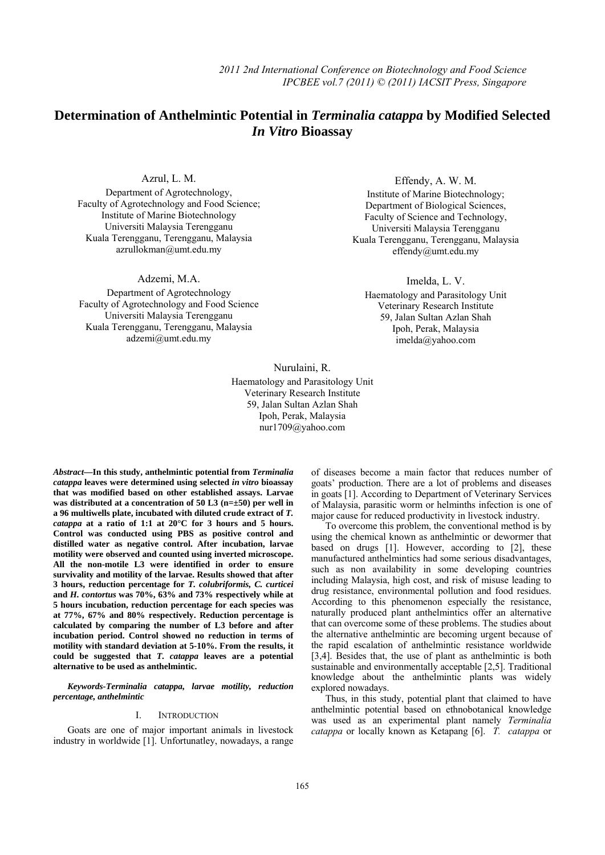# **Determination of Anthelmintic Potential in** *Terminalia catappa* **by Modified Selected**   *In Vitro* **Bioassay**

Azrul, L. M.

Department of Agrotechnology, Faculty of Agrotechnology and Food Science; Institute of Marine Biotechnology Universiti Malaysia Terengganu Kuala Terengganu, Terengganu, Malaysia azrullokman@umt.edu.my

Adzemi, M.A.

Department of Agrotechnology Faculty of Agrotechnology and Food Science Universiti Malaysia Terengganu Kuala Terengganu, Terengganu, Malaysia adzemi@umt.edu.my

Effendy, A. W. M.

Institute of Marine Biotechnology; Department of Biological Sciences, Faculty of Science and Technology, Universiti Malaysia Terengganu Kuala Terengganu, Terengganu, Malaysia effendy@umt.edu.my

Imelda, L. V.

Haematology and Parasitology Unit Veterinary Research Institute 59, Jalan Sultan Azlan Shah Ipoh, Perak, Malaysia imelda@yahoo.com

Nurulaini, R. Haematology and Parasitology Unit Veterinary Research Institute 59, Jalan Sultan Azlan Shah Ipoh, Perak, Malaysia nur1709@yahoo.com

*Abstract***—In this study, anthelmintic potential from** *Terminalia catappa* **leaves were determined using selected** *in vitro* **bioassay that was modified based on other established assays. Larvae was distributed at a concentration of 50 L3 (n=±50) per well in a 96 multiwells plate, incubated with diluted crude extract of** *T. catappa* **at a ratio of 1:1 at 20°C for 3 hours and 5 hours. Control was conducted using PBS as positive control and distilled water as negative control. After incubation, larvae motility were observed and counted using inverted microscope. All the non-motile L3 were identified in order to ensure survivality and motility of the larvae. Results showed that after 3 hours, reduction percentage for** *T. colubriformis, C. curticei*  **and** *H. contortus* **was 70%, 63% and 73% respectively while at 5 hours incubation, reduction percentage for each species was at 77%, 67% and 80% respectively. Reduction percentage is calculated by comparing the number of L3 before and after incubation period. Control showed no reduction in terms of motility with standard deviation at 5-10%. From the results, it could be suggested that** *T. catappa* **leaves are a potential alternative to be used as anthelmintic.** 

*Keywords-Terminalia catappa, larvae motility, reduction percentage, anthelmintic* 

# I. INTRODUCTION

Goats are one of major important animals in livestock industry in worldwide [1]. Unfortunatley, nowadays, a range

of diseases become a main factor that reduces number of goats' production. There are a lot of problems and diseases in goats [1]. According to Department of Veterinary Services of Malaysia, parasitic worm or helminths infection is one of major cause for reduced productivity in livestock industry.

To overcome this problem, the conventional method is by using the chemical known as anthelmintic or dewormer that based on drugs [1]. However, according to [2], these manufactured anthelmintics had some serious disadvantages, such as non availability in some developing countries including Malaysia, high cost, and risk of misuse leading to drug resistance, environmental pollution and food residues. According to this phenomenon especially the resistance, naturally produced plant anthelmintics offer an alternative that can overcome some of these problems. The studies about the alternative anthelmintic are becoming urgent because of the rapid escalation of anthelmintic resistance worldwide [3,4]. Besides that, the use of plant as anthelmintic is both sustainable and environmentally acceptable [2,5]. Traditional knowledge about the anthelmintic plants was widely explored nowadays.

Thus, in this study, potential plant that claimed to have anthelmintic potential based on ethnobotanical knowledge was used as an experimental plant namely *Terminalia catappa* or locally known as Ketapang [6]. *T. catappa* or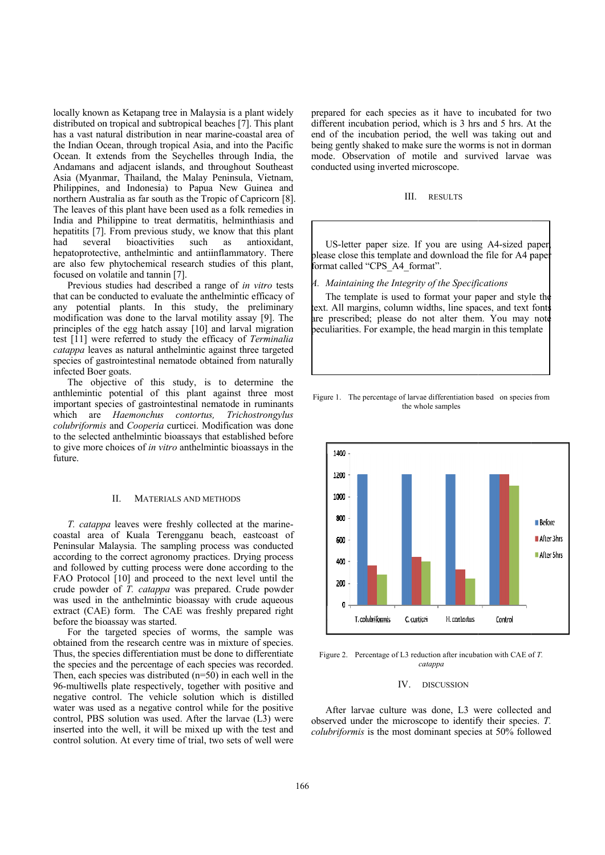locally known as Ketapang tree in Malaysia is a plant widely distributed on tropical and subtropical beaches [7]. This plant has a vast natural distribution in near marine-coastal area of the Indian Ocean, through tropical Asia, and into the Pacific Ocean. It extends from the Seychelles through India, the Andamans and adjacent islands, and throughout Southeast Asia (Myanmar, Thailand, the Malay Peninsula, Vietnam, Philippines, and Indonesia) to Papua New Guinea and northern Australia as far south as the Tropic of Capricorn [8]. The leaves of this plant have been used as a folk remedies in India and Philippine to treat dermatitis, helminthiasis and hepatitits [7]. From previous study, we know that this plant had severa hepatoprotective, anthelmintic and antiinflammatory. There are also few phytochemical research studies of this plant, focused on volatile and tannin [7]. bioactivities such as antioxidant,

Previous studies had described a range of *in vitro* tests that can be conducted to evaluate the anthelmintic efficacy of any potential plants. In this study, the preliminary modification was done to the larval motility assay [9]. The principles of the egg hatch assay [10] and larval migration test [11] wer e referred to study the eff ficacy of *Term minalia*  catappa leaves as natural anthelmintic against three targeted species of gastrointestinal nematode obtained from naturally infected Boer goats.

The objective of this study, is to determine the anthlemintic potential of this plant against three most important species of gastrointestinal nematode in ruminants which are *Haemonchus contortus*, colubriformis and Cooperia curticei. Modification was done to the selected anthelmintic bioassays that established before to give more choices of *in vitro* anthelmintic bioassays in the future. *, Trichostro ongylus* 

# II. MATERIALS AND METHODS

*T. catappa* leaves were freshly collected at the marinecoastal area of Kuala Terengganu beach, eastcoast of Peninsular Malaysia. The sampling process was conducted according to the correct agronomy practices. Drying process and followed by cutting process were done according to the FAO Protocol [10] and proceed to the next level until the crude powder of *T. catappa* was prepared. Crude powder was used in the anthelmintic bioassay with crude aqueous extract (CAE) form. The CAE was freshly prepared right before the bioassay was started.

For the targeted species of worms, the sample was obtained from the research centre was in mixture of species. Thus, the species differentiation must be done to differentiate the species and the percentage of each species was recorded. Then, each species was distributed  $(n=50)$  in each well in the 96-multiwells plate respectively, together with positive and negative control. The vehicle solution which is distilled water was used as a negative control while for the positive control, PBS solution was used. After the larvae (L3) were inserted into the well, it will be mixed up with the test and control solution. At every time of trial, two sets of well were prepared for each species as it have to incubated for two different incubation period, which is 3 hrs and 5 hrs. At the end of the incubation period, the well was taking out and being gently shaked to make sure the worms is not in dorman mode. Observation of motile and survived larvae was conducted using inverted microscope.

#### III. RESULTS

please close this template and download the file for A4 paper format called "CPS\_A4\_format". US-letter paper size. If you are using A4-sized paper,

A. Maintaining the Integrity of the Specifications

text. All margins, column widths, line spaces, and text fonts are prescribed; please do not alter them. You may note peculiarities. For example, the head margin in this template The template is used to format your paper and style the

#### Figure 1. The percentage of larvae differentiation based on species from the whole samples



Figure 2. Percentage of L3 reduction after incubation with CAE of *T*. *ca atappa* 

# IV. D DISCUSSION

observed under the microscope to identify their species. *T*. colubriformis is the most dominant species at 50% followed After larvae culture was done, L3 were collected and